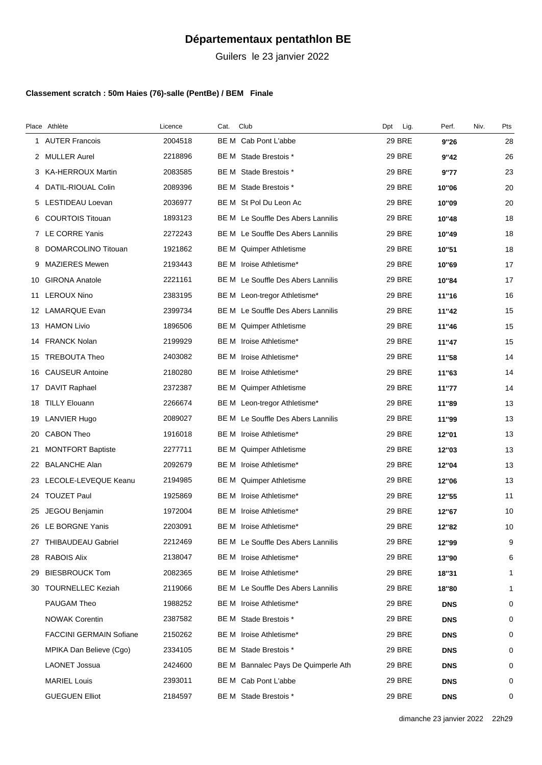## **Départementaux pentathlon BE**

Guilers le 23 janvier 2022

## **Classement scratch : 50m Haies (76)-salle (PentBe) / BEM Finale**

|    | Place Athlète                  | Licence | Cat. | Club                                      | Lig.<br>Dpt   | Perf.      | Niv. | Pts          |
|----|--------------------------------|---------|------|-------------------------------------------|---------------|------------|------|--------------|
|    | 1 AUTER Francois               | 2004518 |      | BE M Cab Pont L'abbe                      | <b>29 BRE</b> | 9"26       |      | 28           |
|    | 2 MULLER Aurel                 | 2218896 | BE M | Stade Brestois *                          | <b>29 BRE</b> | 9"42       |      | 26           |
|    | 3 KA-HERROUX Martin            | 2083585 |      | BE M Stade Brestois *                     | <b>29 BRE</b> | 9"77       |      | 23           |
| 4  | DATIL-RIOUAL Colin             | 2089396 |      | BE M Stade Brestois *                     | <b>29 BRE</b> | 10"06      |      | 20           |
|    | 5 LESTIDEAU Loevan             | 2036977 |      | BE M St Pol Du Leon Ac                    | <b>29 BRE</b> | 10"09      |      | 20           |
| 6  | <b>COURTOIS Titouan</b>        | 1893123 |      | BE M Le Souffle Des Abers Lannilis        | <b>29 BRE</b> | 10"48      |      | 18           |
| 7  | LE CORRE Yanis                 | 2272243 |      | BE M Le Souffle Des Abers Lannilis        | <b>29 BRE</b> | 10"49      |      | 18           |
| 8  | DOMARCOLINO Titouan            | 1921862 |      | BE M Quimper Athletisme                   | <b>29 BRE</b> | 10"51      |      | 18           |
|    | 9 MAZIERES Mewen               | 2193443 |      | BE M Iroise Athletisme*                   | <b>29 BRE</b> | 10"69      |      | 17           |
|    | 10 GIRONA Anatole              | 2221161 |      | <b>BE M</b> Le Souffle Des Abers Lannilis | <b>29 BRE</b> | 10"84      |      | 17           |
| 11 | <b>LEROUX Nino</b>             | 2383195 |      | BE M Leon-tregor Athletisme*              | <b>29 BRE</b> | 11"16      |      | 16           |
|    | 12 LAMARQUE Evan               | 2399734 |      | BE M Le Souffle Des Abers Lannilis        | <b>29 BRE</b> | 11"42      |      | 15           |
|    | 13 HAMON Livio                 | 1896506 |      | BE M Quimper Athletisme                   | <b>29 BRE</b> | 11"46      |      | 15           |
|    | 14 FRANCK Nolan                | 2199929 |      | BE M Iroise Athletisme*                   | <b>29 BRE</b> | 11"47      |      | 15           |
|    | 15 TREBOUTA Theo               | 2403082 |      | BE M Iroise Athletisme*                   | <b>29 BRE</b> | 11"58      |      | 14           |
|    | 16 CAUSEUR Antoine             | 2180280 | BE M | Iroise Athletisme*                        | <b>29 BRE</b> | 11"63      |      | 14           |
| 17 | DAVIT Raphael                  | 2372387 |      | BE M Quimper Athletisme                   | <b>29 BRE</b> | 11"77      |      | 14           |
| 18 | <b>TILLY Elouann</b>           | 2266674 |      | BE M Leon-tregor Athletisme*              | <b>29 BRE</b> | 11"89      |      | 13           |
| 19 | LANVIER Hugo                   | 2089027 |      | BE M Le Souffle Des Abers Lannilis        | <b>29 BRE</b> | 11"99      |      | 13           |
|    | 20 CABON Theo                  | 1916018 |      | BE M Iroise Athletisme*                   | <b>29 BRE</b> | 12"01      |      | 13           |
| 21 | <b>MONTFORT Baptiste</b>       | 2277711 |      | BE M Quimper Athletisme                   | <b>29 BRE</b> | 12"03      |      | 13           |
|    | 22 BALANCHE Alan               | 2092679 |      | BE M Iroise Athletisme*                   | <b>29 BRE</b> | 12"04      |      | 13           |
|    | 23 LECOLE-LEVEQUE Keanu        | 2194985 |      | BE M Quimper Athletisme                   | <b>29 BRE</b> | 12"06      |      | 13           |
|    | 24 TOUZET Paul                 | 1925869 |      | BE M Iroise Athletisme*                   | <b>29 BRE</b> | 12"55      |      | 11           |
|    | 25 JEGOU Benjamin              | 1972004 |      | BE M Iroise Athletisme*                   | <b>29 BRE</b> | 12"67      |      | 10           |
|    | 26 LE BORGNE Yanis             | 2203091 |      | BE M Iroise Athletisme*                   | <b>29 BRE</b> | 12"82      |      | 10           |
|    | 27 THIBAUDEAU Gabriel          | 2212469 |      | BE M Le Souffle Des Abers Lannilis        | 29 BRE        | 12"99      |      | 9            |
|    | 28 RABOIS Alix                 | 2138047 |      | BE M Iroise Athletisme*                   | <b>29 BRE</b> | 13"90      |      | 6            |
|    | 29 BIESBROUCK Tom              | 2082365 |      | BE M Iroise Athletisme*                   | 29 BRE        | 18"31      |      | 1            |
|    | 30 TOURNELLEC Keziah           | 2119066 |      | BE M Le Souffle Des Abers Lannilis        | <b>29 BRE</b> | 18"80      |      | $\mathbf{1}$ |
|    | PAUGAM Theo                    | 1988252 |      | BE M Iroise Athletisme*                   | 29 BRE        | <b>DNS</b> |      | 0            |
|    | <b>NOWAK Corentin</b>          | 2387582 |      | BE M Stade Brestois *                     | 29 BRE        | <b>DNS</b> |      | 0            |
|    | <b>FACCINI GERMAIN Sofiane</b> | 2150262 |      | BE M Iroise Athletisme*                   | <b>29 BRE</b> | <b>DNS</b> |      | 0            |
|    | MPIKA Dan Believe (Cgo)        | 2334105 |      | BE M Stade Brestois *                     | 29 BRE        | <b>DNS</b> |      | 0            |
|    | <b>LAONET Jossua</b>           | 2424600 |      | BE M Bannalec Pays De Quimperle Ath       | <b>29 BRE</b> | <b>DNS</b> |      | 0            |
|    | <b>MARIEL Louis</b>            | 2393011 |      | BE M Cab Pont L'abbe                      | <b>29 BRE</b> | <b>DNS</b> |      | 0            |
|    | <b>GUEGUEN Elliot</b>          | 2184597 |      | BE M Stade Brestois *                     | <b>29 BRE</b> | <b>DNS</b> |      | 0            |
|    |                                |         |      |                                           |               |            |      |              |